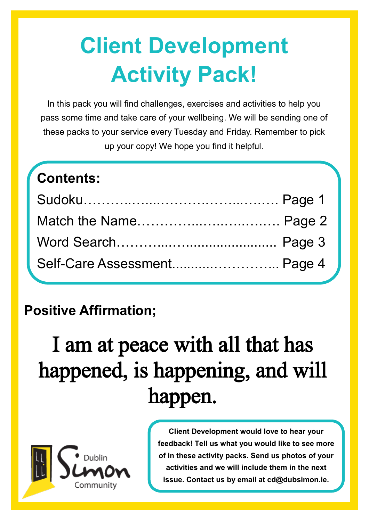# **Client Development Activity Pack!**

In this pack you will find challenges, exercises and activities to help you pass some time and take care of your wellbeing. We will be sending one of these packs to your service every Tuesday and Friday. Remember to pick up your copy! We hope you find it helpful.

| <b>Contents:</b> |
|------------------|
|------------------|

| Self-Care Assessment Page 4 |  |
|-----------------------------|--|

## **Positive Affirmation;**

# I am at peace with all that has happened, is happening, and will happen.



**Client Development would love to hear your feedback! Tell us what you would like to see more of in these activity packs. Send us photos of your activities and we will include them in the next issue. Contact us by email at cd@dubsimon.ie.**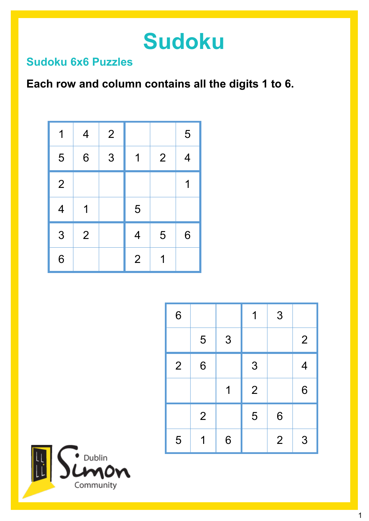# **Sudoku**

#### **Sudoku 6x6 Puzzles**

### **Each row and column contains all the digits 1 to 6.**

| 1                        | $\overline{\mathcal{A}}$ | $\overline{2}$ |                          |                | 5 |
|--------------------------|--------------------------|----------------|--------------------------|----------------|---|
| 5                        | 6                        | 3              | 1                        | $\overline{2}$ | 4 |
| $\overline{2}$           |                          |                |                          |                | 1 |
| $\overline{\mathcal{A}}$ | 1                        |                | 5                        |                |   |
| 3                        | $\overline{2}$           |                | $\overline{\mathcal{A}}$ | 5              | 6 |
| 6                        |                          |                | $\overline{2}$           | 1              |   |

| 6              |   |   | 1              | 3              |                |
|----------------|---|---|----------------|----------------|----------------|
|                | 5 | 3 |                |                | $\overline{2}$ |
| $\overline{2}$ | 6 |   | 3              |                | 4              |
|                |   |   | $\overline{2}$ |                | 6              |
|                | 2 |   | 5              | 6              |                |
| 5              |   | 6 |                | $\overline{2}$ | 3              |

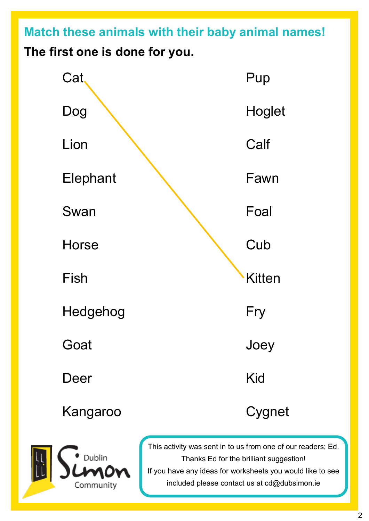**Match these animals with their baby animal names! The first one is done for you.**





This activity was sent in to us from one of our readers; Ed. Thanks Ed for the brilliant suggestion! If you have any ideas for worksheets you would like to see included please contact us at cd@dubsimon.ie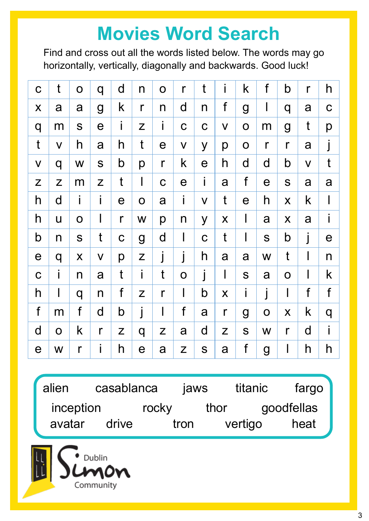## **Movies Word Search**

Find and cross out all the words listed below. The words may go horizontally, vertically, diagonally and backwards. Good luck!

| $\mathbf C$                                                 | t            | $\mathbf O$  | q              | d             | $\mathsf{n}$                                                                                                  | $\mathbf O$           | $\mathsf{r}$ | t            | i                                                           | k            | $\mathsf f$  | b                  | $\mathsf{r}$ | h            |
|-------------------------------------------------------------|--------------|--------------|----------------|---------------|---------------------------------------------------------------------------------------------------------------|-----------------------|--------------|--------------|-------------------------------------------------------------|--------------|--------------|--------------------|--------------|--------------|
| X                                                           | a            | a            | $\overline{g}$ | k             | $\mathsf{r}$                                                                                                  | n                     | d            | n            | f                                                           | g            | $\mathbf l$  | q                  | a            | $\mathbf C$  |
| q                                                           | m            | S            | $\mathbf e$    | Î             | Z                                                                                                             | İ.                    | $\mathbf C$  | $\mathbf C$  | $\mathsf{V}$                                                | $\mathbf O$  | m            | $\overline{g}$     | t            | p            |
| $\mathbf t$                                                 | $\mathsf{V}$ | h            | a              | h             | t                                                                                                             | $\boldsymbol{\theta}$ | $\mathsf{V}$ | y            | p                                                           | $\mathbf O$  | $\mathsf{r}$ | $\mathsf{r}$       | a            |              |
| $\mathsf{V}$                                                | q            | W            | S              | b             | p                                                                                                             | $\mathsf{r}$          | k            | $\mathbf e$  | $\mathsf{h}$                                                | d            | d            | b                  | $\mathsf{V}$ | t            |
| $\mathsf{Z}% _{M_{1},M_{2}}^{\alpha,\beta}(\mathbb{R}^{N})$ | Z            | m            | Z              | $\mathfrak t$ | $\mathbf l$                                                                                                   | $\mathbf C$           | $\mathbf e$  | İ            | a                                                           | $\mathsf f$  | $\mathbf e$  | S                  | a            | a            |
| h                                                           | d            | İ            | İ              | $\mathbf e$   | $\mathbf O$                                                                                                   | a                     | İ            | $\mathsf{V}$ | $\mathfrak t$                                               | $\mathsf e$  | h            | X                  | k            | $\mathsf{l}$ |
| h                                                           | U            | $\mathbf O$  | $\mathbf{I}$   | $\mathsf{r}$  | W                                                                                                             | p                     | $\mathsf{n}$ | y            | $\pmb{\mathsf{X}}$                                          | $\mathbf{I}$ | a            | $\pmb{\mathsf{X}}$ | a            | İ            |
| b                                                           | n            | S            | t              | $\mathbf C$   | $\boldsymbol{g}$                                                                                              | d                     | $\mathsf I$  | $\mathbf C$  | t                                                           | I            | S            | b                  |              | $\mathbf e$  |
| $\boldsymbol{\theta}$                                       | q            | X            | $\mathsf{V}$   | р             | $\mathsf Z$                                                                                                   | j                     |              | h            | a                                                           | a            | W            | t                  | $\mathsf I$  | n            |
| $\mathbf C$                                                 | i            | n            | a              | t             | i                                                                                                             | t                     | $\mathbf O$  | j            | $\mathsf{l}$                                                | S            | a            | $\mathbf O$        | l            | k            |
| h                                                           | $\sf I$      | q            | n              | f             | $\mathsf{Z}% _{M_{1},M_{2}}^{\alpha,\beta}(\varepsilon)=\mathsf{Z}_{M_{1},M_{2}}^{\alpha,\beta}(\varepsilon)$ | $\mathsf{r}$          | $\mathsf I$  | b            | X                                                           | İ            | j            | I                  | f            | f            |
| f                                                           | m            | f            | $\mathsf{d}$   | b             | j                                                                                                             | l                     | f            | a            | $\mathsf{r}$                                                | g            | $\mathbf O$  | X                  | k            | q            |
| d                                                           | $\mathbf O$  | k            | $\mathsf{r}$   | Z             | q                                                                                                             | Z                     | a            | d            | $\mathsf{Z}% _{M_{1},M_{2}}^{\alpha,\beta}(\mathbb{R}^{2})$ | S            | W            | $\mathsf{r}$       | $\mathsf{d}$ | İ            |
| $\mathbf e$                                                 | W            | $\mathsf{r}$ | İ              | h             | $\boldsymbol{\theta}$                                                                                         | a                     | Z            | S            | a                                                           | $\mathsf f$  | g            | I                  | h            | h            |

alien casablanca jaws titanic fargo inception rocky thor goodfellas avatar drive tron vertigo heat